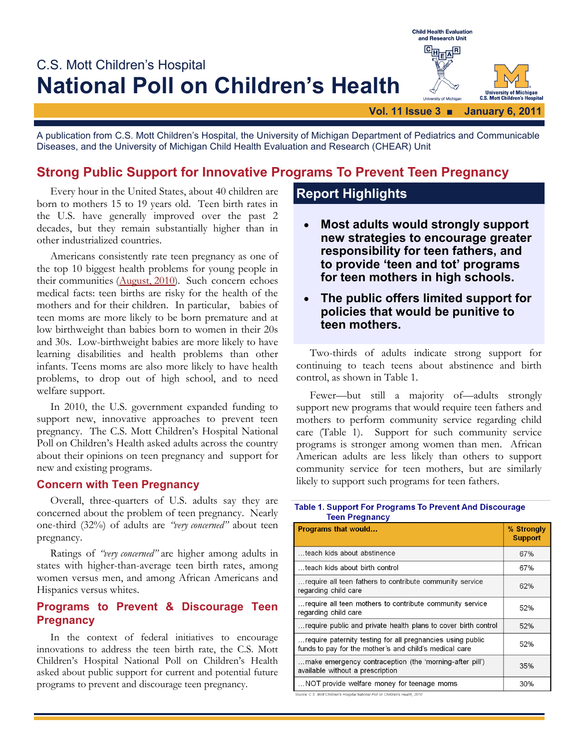

A publication from C.S. Mott Children's Hospital, the University of Michigan Department of Pediatrics and Communicable Diseases, and the University of Michigan Child Health Evaluation and Research (CHEAR) Unit

## **Strong Public Support for Innovative Programs To Prevent Teen Pregnancy**

Every hour in the United States, about 40 children are born to mothers 15 to 19 years old. Teen birth rates in the U.S. have generally improved over the past 2 decades, but they remain substantially higher than in other industrialized countries.

Americans consistently rate teen pregnancy as one of the top 10 biggest health problems for young people in their communities [\(August, 2010\)](http://www.med.umich.edu/mott/npch/pdf/081610report.pdf). Such concern echoes medical facts: teen births are risky for the health of the mothers and for their children. In particular, babies of teen moms are more likely to be born premature and at low birthweight than babies born to women in their 20s and 30s. Low-birthweight babies are more likely to have learning disabilities and health problems than other infants. Teens moms are also more likely to have health problems, to drop out of high school, and to need welfare support.

In 2010, the U.S. government expanded funding to support new, innovative approaches to prevent teen pregnancy. The C.S. Mott Children's Hospital National Poll on Children's Health asked adults across the country about their opinions on teen pregnancy and support for new and existing programs.

### **Concern with Teen Pregnancy**

Overall, three-quarters of U.S. adults say they are concerned about the problem of teen pregnancy. Nearly one-third (32%) of adults are *"very concerned"* about teen pregnancy.

Ratings of *"very concerned"* are higher among adults in states with higher-than-average teen birth rates, among women versus men, and among African Americans and Hispanics versus whites.

### **Programs to Prevent & Discourage Teen Pregnancy**

In the context of federal initiatives to encourage innovations to address the teen birth rate, the C.S. Mott Children's Hospital National Poll on Children's Health asked about public support for current and potential future programs to prevent and discourage teen pregnancy.

# **Report Highlights**

- **Most adults would strongly support new strategies to encourage greater responsibility for teen fathers, and to provide 'teen and tot' programs for teen mothers in high schools.**
- **The public offers limited support for policies that would be punitive to teen mothers.**

Two-thirds of adults indicate strong support for continuing to teach teens about abstinence and birth control, as shown in Table 1.

Fewer—but still a majority of—adults strongly support new programs that would require teen fathers and mothers to perform community service regarding child care (Table 1). Support for such community service programs is stronger among women than men. African American adults are less likely than others to support community service for teen mothers, but are similarly likely to support such programs for teen fathers.

#### Table 1. Support For Programs To Prevent And Discourage **Teen Pregnancy**

| <b>Programs that would</b>                                                                                           | % Strongly<br><b>Support</b> |
|----------------------------------------------------------------------------------------------------------------------|------------------------------|
| teach kids about abstinence                                                                                          | 67%                          |
| teach kids about birth control                                                                                       | 67%                          |
| require all teen fathers to contribute community service<br>regarding child care                                     | 62%                          |
| require all teen mothers to contribute community service<br>regarding child care                                     | 52%                          |
| require public and private health plans to cover birth control                                                       | 52%                          |
| require paternity testing for all pregnancies using public<br>funds to pay for the mother's and child's medical care | 52%                          |
| make emergency contraception (the 'morning-after pill')<br>available without a prescription                          | 35%                          |
| NOT provide welfare money for teenage moms                                                                           | 30%                          |

-<br>Source: C.S. Mott Children's Hospital National Poll on Children's Health. 2010